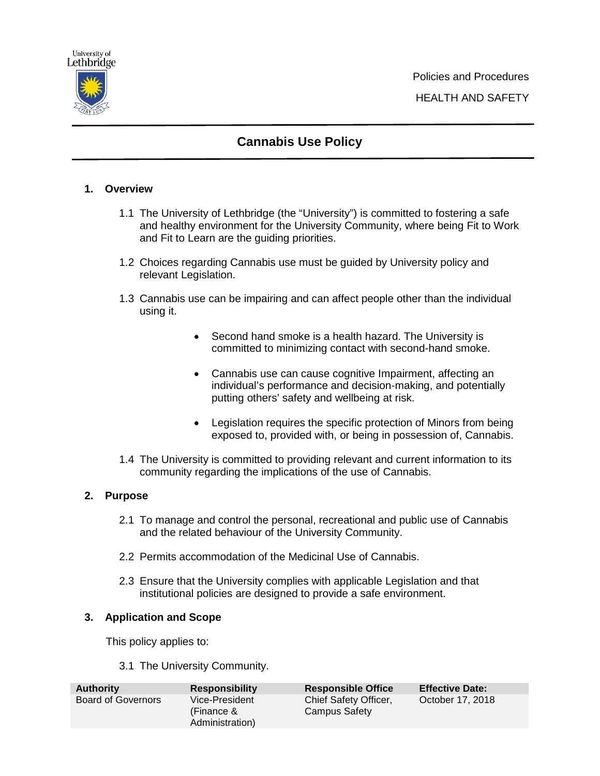

# **Cannabis Use Policy**

# **1. Overview**

- 1.1 The University of Lethbridge (the "University") is committed to fostering a safe and healthy environment for the University Community, where being Fit to Work and Fit to Learn are the guiding priorities.
- 1.2 Choices regarding Cannabis use must be guided by University policy and relevant Legislation.
- 1.3 Cannabis use can be impairing and can affect people other than the individual using it.
	- Second hand smoke is a health hazard. The University is committed to minimizing contact with second-hand smoke.
	- Cannabis use can cause cognitive Impairment, affecting an individual's performance and decision-making, and potentially putting others' safety and wellbeing at risk.
	- Legislation requires the specific protection of Minors from being exposed to, provided with, or being in possession of, Cannabis.
- 1.4 The University is committed to providing relevant and current information to its community regarding the implications of the use of Cannabis.

## **2. Purpose**

- 2.1 To manage and control the personal, recreational and public use of Cannabis and the related behaviour of the University Community.
- 2.2 Permits accommodation of the Medicinal Use of Cannabis.
- 2.3 Ensure that the University complies with applicable Legislation and that institutional policies are designed to provide a safe environment.

## **3. Application and Scope**

This policy applies to:

3.1 The University Community.

| <b>Authority</b>   | <b>Responsibility</b>                           | <b>Responsible Office</b>              | <b>Effective Date:</b> |
|--------------------|-------------------------------------------------|----------------------------------------|------------------------|
| Board of Governors | Vice-President<br>(Finance &<br>Administration) | Chief Safety Officer,<br>Campus Safety | October 17, 2018       |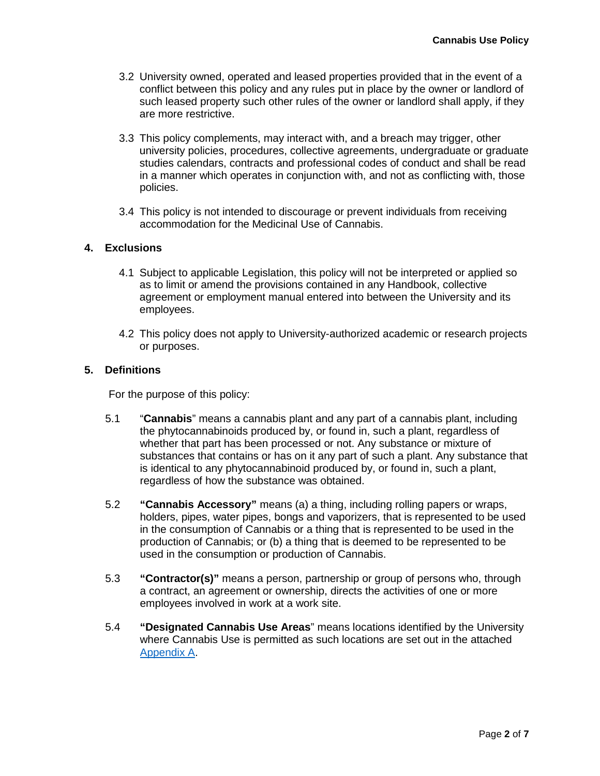- 3.2 University owned, operated and leased properties provided that in the event of a conflict between this policy and any rules put in place by the owner or landlord of such leased property such other rules of the owner or landlord shall apply, if they are more restrictive.
- 3.3 This policy complements, may interact with, and a breach may trigger, other university policies, procedures, collective agreements, undergraduate or graduate studies calendars, contracts and professional codes of conduct and shall be read in a manner which operates in conjunction with, and not as conflicting with, those policies.
- 3.4 This policy is not intended to discourage or prevent individuals from receiving accommodation for the Medicinal Use of Cannabis.

#### **4. Exclusions**

- 4.1 Subject to applicable Legislation, this policy will not be interpreted or applied so as to limit or amend the provisions contained in any Handbook, collective agreement or employment manual entered into between the University and its employees.
- 4.2 This policy does not apply to University-authorized academic or research projects or purposes.

#### **5. Definitions**

For the purpose of this policy:

- 5.1 "**Cannabis**" means a cannabis plant and any part of a cannabis plant, including the phytocannabinoids produced by, or found in, such a plant, regardless of whether that part has been processed or not. Any substance or mixture of substances that contains or has on it any part of such a plant. Any substance that is identical to any phytocannabinoid produced by, or found in, such a plant, regardless of how the substance was obtained.
- 5.2 **"Cannabis Accessory"** means (a) a thing, including rolling papers or wraps, holders, pipes, water pipes, bongs and vaporizers, that is represented to be used in the consumption of Cannabis or a thing that is represented to be used in the production of Cannabis; or (b) a thing that is deemed to be represented to be used in the consumption or production of Cannabis.
- 5.3 **"Contractor(s)"** means a person, partnership or group of persons who, through a contract, an agreement or ownership, directs the activities of one or more employees involved in work at a work site.
- 5.4 **"Designated Cannabis Use Areas**" means locations identified by the University where Cannabis Use is permitted as such locations are set out in the attached [Appendix A.](#page-5-0)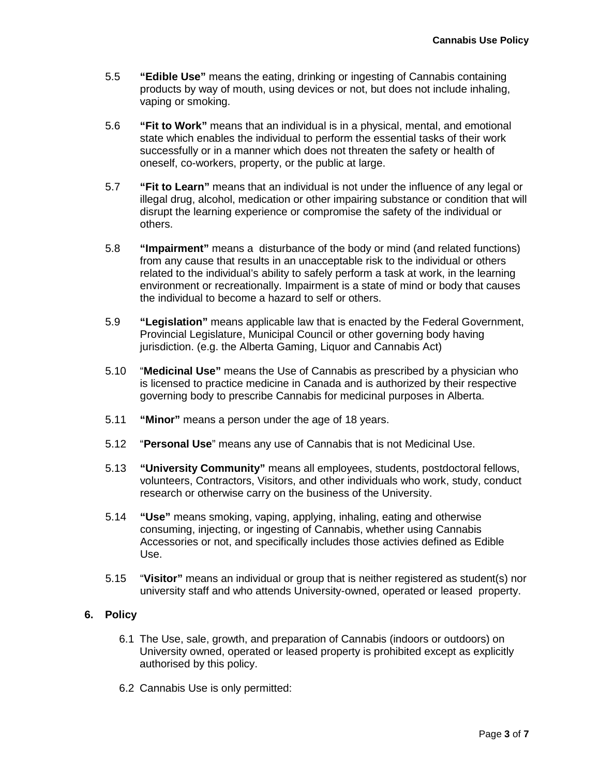- 5.5 **"Edible Use"** means the eating, drinking or ingesting of Cannabis containing products by way of mouth, using devices or not, but does not include inhaling, vaping or smoking.
- 5.6 **"Fit to Work"** means that an individual is in a physical, mental, and emotional state which enables the individual to perform the essential tasks of their work successfully or in a manner which does not threaten the safety or health of oneself, co-workers, property, or the public at large.
- 5.7 **"Fit to Learn"** means that an individual is not under the influence of any legal or illegal drug, alcohol, medication or other impairing substance or condition that will disrupt the learning experience or compromise the safety of the individual or others.
- 5.8 **"Impairment"** means a disturbance of the body or mind (and related functions) from any cause that results in an unacceptable risk to the individual or others related to the individual's ability to safely perform a task at work, in the learning environment or recreationally. Impairment is a state of mind or body that causes the individual to become a hazard to self or others.
- 5.9 **"Legislation"** means applicable law that is enacted by the Federal Government, Provincial Legislature, Municipal Council or other governing body having jurisdiction. (e.g. the Alberta Gaming, Liquor and Cannabis Act)
- 5.10 "**Medicinal Use"** means the Use of Cannabis as prescribed by a physician who is licensed to practice medicine in Canada and is authorized by their respective governing body to prescribe Cannabis for medicinal purposes in Alberta.
- 5.11 **"Minor"** means a person under the age of 18 years.
- 5.12 "**Personal Use**" means any use of Cannabis that is not Medicinal Use.
- 5.13 **"University Community"** means all employees, students, postdoctoral fellows, volunteers, Contractors, Visitors, and other individuals who work, study, conduct research or otherwise carry on the business of the University.
- 5.14 **"Use"** means smoking, vaping, applying, inhaling, eating and otherwise consuming, injecting, or ingesting of Cannabis, whether using Cannabis Accessories or not, and specifically includes those activies defined as Edible Use.
- 5.15 "**Visitor"** means an individual or group that is neither registered as student(s) nor university staff and who attends University-owned, operated or leased property.

#### **6. Policy**

- 6.1 The Use, sale, growth, and preparation of Cannabis (indoors or outdoors) on University owned, operated or leased property is prohibited except as explicitly authorised by this policy.
- 6.2 Cannabis Use is only permitted: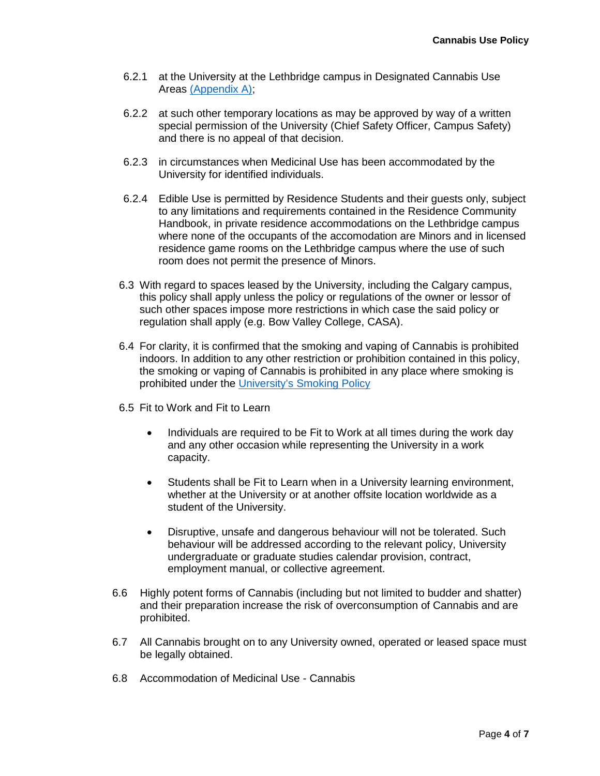- 6.2.1 at the University at the Lethbridge campus in Designated Cannabis Use Areas [\(Appendix A\);](#page-5-0)
- 6.2.2 at such other temporary locations as may be approved by way of a written special permission of the University (Chief Safety Officer, Campus Safety) and there is no appeal of that decision.
- 6.2.3 in circumstances when Medicinal Use has been accommodated by the University for identified individuals.
- 6.2.4 Edible Use is permitted by Residence Students and their guests only, subject to any limitations and requirements contained in the Residence Community Handbook, in private residence accommodations on the Lethbridge campus where none of the occupants of the accomodation are Minors and in licensed residence game rooms on the Lethbridge campus where the use of such room does not permit the presence of Minors.
- 6.3 With regard to spaces leased by the University, including the Calgary campus, this policy shall apply unless the policy or regulations of the owner or lessor of such other spaces impose more restrictions in which case the said policy or regulation shall apply (e.g. Bow Valley College, CASA).
- 6.4 For clarity, it is confirmed that the smoking and vaping of Cannabis is prohibited indoors. In addition to any other restriction or prohibition contained in this policy, the smoking or vaping of Cannabis is prohibited in any place where smoking is prohibited under the [University's Smoking Policy](http://www.uleth.ca/policy/smoking-policy)
- 6.5 Fit to Work and Fit to Learn
	- Individuals are required to be Fit to Work at all times during the work day and any other occasion while representing the University in a work capacity.
	- Students shall be Fit to Learn when in a University learning environment, whether at the University or at another offsite location worldwide as a student of the University.
	- Disruptive, unsafe and dangerous behaviour will not be tolerated. Such behaviour will be addressed according to the relevant policy, University undergraduate or graduate studies calendar provision, contract, employment manual, or collective agreement.
- 6.6 Highly potent forms of Cannabis (including but not limited to budder and shatter) and their preparation increase the risk of overconsumption of Cannabis and are prohibited.
- 6.7 All Cannabis brought on to any University owned, operated or leased space must be legally obtained.
- 6.8 Accommodation of Medicinal Use Cannabis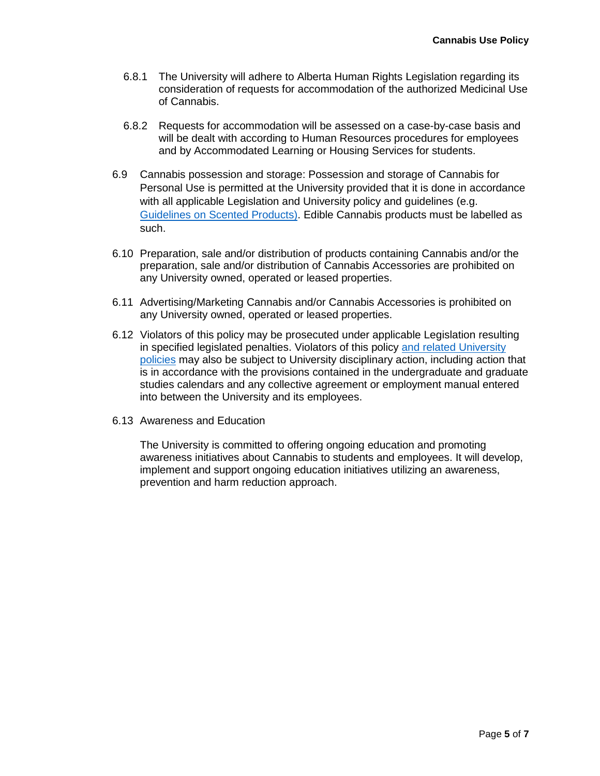- 6.8.1 The University will adhere to Alberta Human Rights Legislation regarding its consideration of requests for accommodation of the authorized Medicinal Use of Cannabis.
- 6.8.2 Requests for accommodation will be assessed on a case-by-case basis and will be dealt with according to Human Resources procedures for employees and by Accommodated Learning or Housing Services for students.
- 6.9 Cannabis possession and storage: Possession and storage of Cannabis for Personal Use is permitted at the University provided that it is done in accordance with all applicable Legislation and University policy and guidelines (e.g. [Guidelines on Scented Products\).](https://uleth.sharepoint.com/sites/PAQWYRSolicy/Policies/Forms/AllItems.aspx?id=%2Fsites%2FPolicy%2FPolicies%2FScented%20Products%20Guidelines%5FJuly%2019%2C%202006%5F1%2Epdf&parent=%2Fsites%2FPolicy%2FPolicies&p=true&slrid=aef4609e-f046-5000-dfe2) Edible Cannabis products must be labelled as such.
- 6.10 Preparation, sale and/or distribution of products containing Cannabis and/or the preparation, sale and/or distribution of Cannabis Accessories are prohibited on any University owned, operated or leased properties.
- 6.11 Advertising/Marketing Cannabis and/or Cannabis Accessories is prohibited on any University owned, operated or leased properties.
- 6.12 Violators of this policy may be prosecuted under applicable Legislation resulting in specified legislated penalties. Violators of this policy [and related University](http://www.uleth.ca/policy/external-resource)  [policies](http://www.uleth.ca/policy/external-resource) may also be subject to University disciplinary action, including action that is in accordance with the provisions contained in the undergraduate and graduate studies calendars and any collective agreement or employment manual entered into between the University and its employees.
- 6.13 Awareness and Education

The University is committed to offering ongoing education and promoting awareness initiatives about Cannabis to students and employees. It will develop, implement and support ongoing education initiatives utilizing an awareness, prevention and harm reduction approach.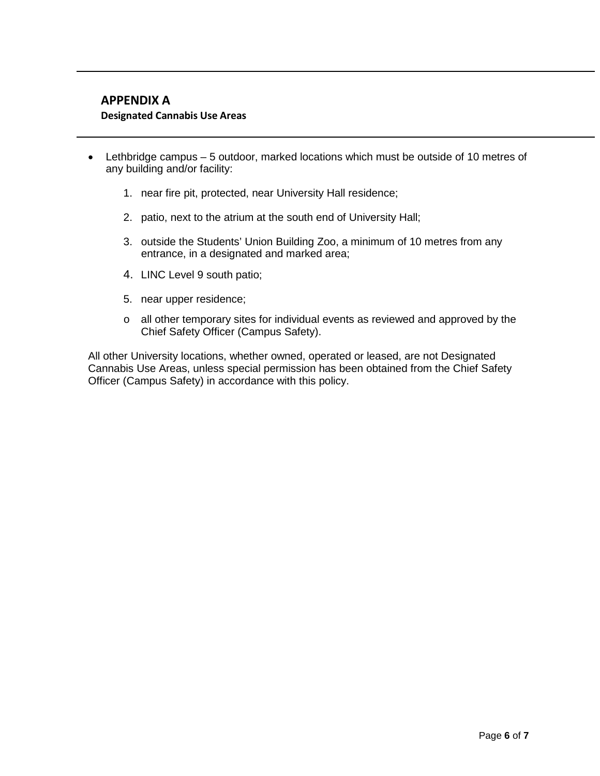# <span id="page-5-0"></span>**APPENDIX A Designated Cannabis Use Areas**

- Lethbridge campus 5 outdoor, marked locations which must be outside of 10 metres of any building and/or facility:
	- 1. near fire pit, protected, near University Hall residence;
	- 2. patio, next to the atrium at the south end of University Hall;
	- 3. outside the Students' Union Building Zoo, a minimum of 10 metres from any entrance, in a designated and marked area;
	- 4. LINC Level 9 south patio;
	- 5. near upper residence;
	- o all other temporary sites for individual events as reviewed and approved by the Chief Safety Officer (Campus Safety).

All other University locations, whether owned, operated or leased, are not Designated Cannabis Use Areas, unless special permission has been obtained from the Chief Safety Officer (Campus Safety) in accordance with this policy.